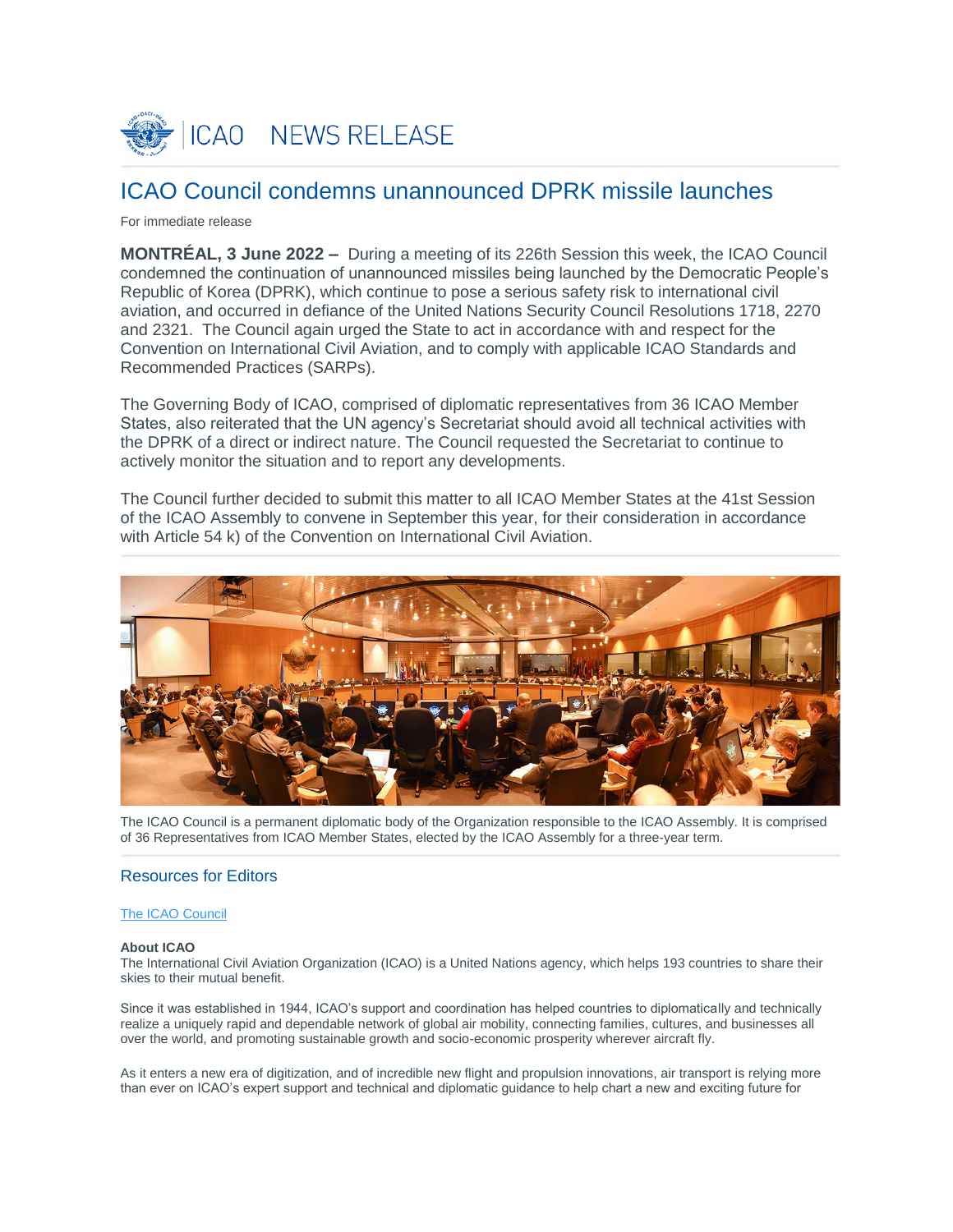

# ICAO Council condemns unannounced DPRK missile launches

## For immediate release

**MONTRÉAL, 3 June 2022 –** During a meeting of its 226th Session this week, the ICAO Council condemned the continuation of unannounced missiles being launched by the Democratic People's Republic of Korea (DPRK), which continue to pose a serious safety risk to international civil aviation, and occurred in defiance of the United Nations Security Council Resolutions 1718, 2270 and 2321. The Council again urged the State to act in accordance with and respect for the Convention on International Civil Aviation, and to comply with applicable ICAO Standards and Recommended Practices (SARPs).

The Governing Body of ICAO, comprised of diplomatic representatives from 36 ICAO Member States, also reiterated that the UN agency's Secretariat should avoid all technical activities with the DPRK of a direct or indirect nature. The Council requested the Secretariat to continue to actively monitor the situation and to report any developments.

The Council further decided to submit this matter to all ICAO Member States at the 41st Session of the ICAO Assembly to convene in September this year, for their consideration in accordance with Article 54 k) of the Convention on International Civil Aviation.



The ICAO Council is a permanent diplomatic body of the Organization responsible to the ICAO Assembly. It is comprised of 36 Representatives from ICAO Member States, elected by the ICAO Assembly for a three-year term.

## Resources for Editors

### [The ICAO Council](https://www.icao.int/about-icao/Council/Pages/council.aspx)

#### **About ICAO**

The International Civil Aviation Organization (ICAO) is a United Nations agency, which helps 193 countries to share their skies to their mutual benefit.

Since it was established in 1944, ICAO's support and coordination has helped countries to diplomatically and technically realize a uniquely rapid and dependable network of global air mobility, connecting families, cultures, and businesses all over the world, and promoting sustainable growth and socio-economic prosperity wherever aircraft fly.

As it enters a new era of digitization, and of incredible new flight and propulsion innovations, air transport is relying more than ever on ICAO's expert support and technical and diplomatic guidance to help chart a new and exciting future for